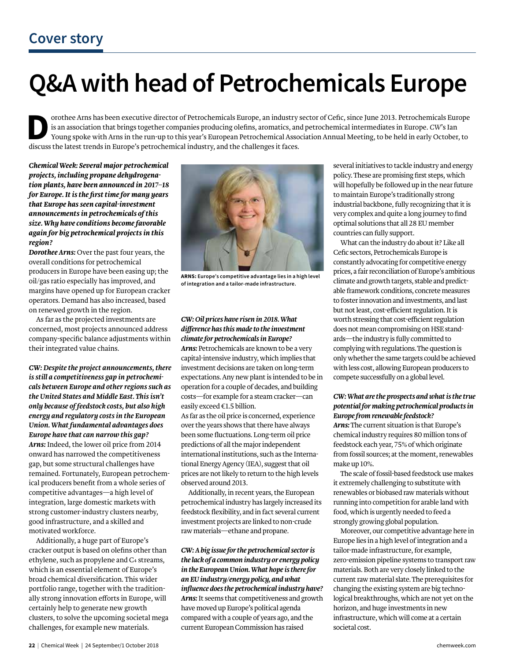# **Q&A with head of Petrochemicals Europe**

**D**orothee Arns has been executive director of Petrochemicals Europe, an industry sector of Cefic, since June 2013. Petrochemicals Europe is an association that brings together companies producing olefins, aromatics, and petrochemical intermediates in Europe. *CW*'s Ian Young spoke with Arns in the run-up to this year's European Petrochemical Association Annual Meeting, to be held in early October, to discuss the latest trends in Europe's petrochemical industry, and the challenges it faces.

*Chemical Week: Several major petrochemical projects, including propane dehydrogenation plants, have been announced in 2017–18 for Europe. It is the first time for many years that Europe has seen capital-investment announcements in petrochemicals of this size. Why have conditions become favorable again for big petrochemical projects in this region?*

*Dorothee Arns:* Over the past four years, the overall conditions for petrochemical producers in Europe have been easing up; the oil/gas ratio especially has improved, and margins have opened up for European cracker operators. Demand has also increased, based on renewed growth in the region.

As far as the projected investments are concerned, most projects announced address company-specific balance adjustments within their integrated value chains.

*CW: Despite the project announcements, there is still a competitiveness gap in petrochemicals between Europe and other regions such as the United States and Middle East. This isn't only because of feedstock costs, but also high energy and regulatory costs in the European Union. What fundamental advantages does Europe have that can narrow this gap? Arns:* Indeed, the lower oil price from 2014 onward has narrowed the competitiveness gap, but some structural challenges have remained. Fortunately, European petrochemical producers benefit from a whole series of competitive advantages—a high level of integration, large domestic markets with strong customer-industry clusters nearby, good infrastructure, and a skilled and motivated workforce.

Additionally, a huge part of Europe's cracker output is based on olefins other than ethylene, such as propylene and C<sub>4</sub> streams, which is an essential element of Europe's broad chemical diversification. This wider portfolio range, together with the traditionally strong innovation efforts in Europe, will certainly help to generate new growth clusters, to solve the upcoming societal mega challenges, for example new materials.



**ARNS: Europe's competitive advantage lies in a high level of integration and a tailor-made infrastructure.**

### *CW: Oil prices have risen in 2018. What difference has this made to the investment climate for petrochemicals in Europe?*

*Arns:* Petrochemicals are known to be a very capital-intensive industry, which implies that investment decisions are taken on long-term expectations. Any new plant is intended to be in operation for a couple of decades, and building costs—for example for a steam cracker—can easily exceed €1.5 billion.

As far as the oil price is concerned, experience over the years shows that there have always been some fluctuations. Long-term oil price predictions of all the major independent international institutions, such as the International Energy Agency (IEA), suggest that oil prices are not likely to return to the high levels observed around 2013.

Additionally, in recent years, the European petrochemical industry has largely increased its feedstock flexibility, and in fact several current investment projects are linked to non-crude raw materials—ethane and propane.

#### *CW: A big issue for the petrochemical sector is the lack of a common industry or energy policy in the European Union. What hope is there for an EU industry/energy policy, and what influence does the petrochemical industry have? Arns:* It seems that competitiveness and growth have moved up Europe's political agenda compared with a couple of years ago, and the current European Commission has raised

several initiatives to tackle industry and energy policy. These are promising first steps, which will hopefully be followed up in the near future to maintain Europe's traditionally strong industrial backbone, fully recognizing that it is very complex and quite a long journey to find optimal solutions that all 28 EU member countries can fully support.

What can the industry do about it? Like all Cefic sectors, Petrochemicals Europe is constantly advocating for competitive energy prices, a fair reconciliation of Europe's ambitious climate and growth targets, stable and predictable framework conditions, concrete measures to foster innovation and investments, and last but not least, cost-efficient regulation. It is worth stressing that cost-efficient regulation does not mean compromising on HSE standards—the industry is fully committed to complying with regulations. The question is only whether the same targets could be achieved with less cost, allowing European producers to compete successfully on a global level.

#### *CW: What are the prospects and what is the true potential for making petrochemical products in Europe from renewable feedstock?*

*Arns:* The current situation is that Europe's chemical industry requires 80 million tons of feedstock each year, 75% of which originate from fossil sources; at the moment, renewables make up 10%.

The scale of fossil-based feedstock use makes it extremely challenging to substitute with renewables or biobased raw materials without running into competition for arable land with food, which is urgently needed to feed a strongly growing global population.

Moreover, our competitive advantage here in Europe lies in a high level of integration and a tailor-made infrastructure, for example, zero-emission pipeline systems to transport raw materials. Both are very closely linked to the current raw material slate. The prerequisites for changing the existing system are big technological breakthroughs, which are not yet on the horizon, and huge investments in new infrastructure, which will come at a certain societal cost.